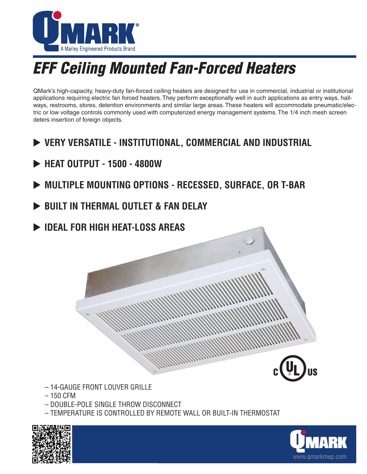

## *EFF Ceiling Mounted Fan-Forced Heaters*

QMark's high-capacity, heavy-duty fan-forced ceiling heaters are designed for use in commercial, industrial or institutional applications requiring electric fan forced heaters. They perform exceptionally well in such applications as entry ways, hallways, restrooms, stores, detention environments and similar large areas. These heaters will accommodate pneumatic/electric or low voltage controls commonly used with computerized energy management systems. The 1/4 inch mesh screen deters insertion of foreign objects.

- **EXAMPLE INSTITUTIONAL, COMMERCIAL AND INDUSTRIAL**
- **EXTERT OUTPUT 1500 4800W**
- **EXAMULTIPLE MOUNTING OPTIONS RECESSED, SURFACE, OR T-BAR**
- **BUILT IN THERMAL OUTLET & FAN DELAY**
- **DEAL FOR HIGH HEAT-LOSS AREAS**



- 14-GAUGE FRONT LOUVER GRILLE
- 150 CFM
- DOUBLE-POLE SINGLE THROW DISCONNECT
- TEMPERATURE IS CONTROLLED BY REMOTE WALL OR BUILT-IN THERMOSTAT